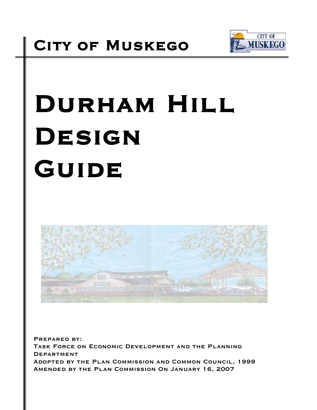

# DURHAM HILL DESIGN GUIDE



Prepared by: Task Force on Economic Development and the Planning **DEPARTMENT** Adopted by the Plan Commission and Common Council, 1999 Amended by the Plan Commission On January 16, 2007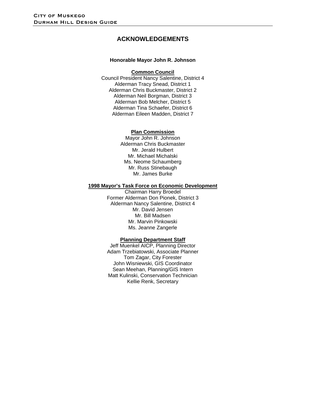## **ACKNOWLEDGEMENTS**

#### **Honorable Mayor John R. Johnson**

#### **Common Council**

Council President Nancy Salentine, District 4 Alderman Tracy Snead, District 1 Alderman Chris Buckmaster, District 2 Alderman Neil Borgman, District 3 Alderman Bob Melcher, District 5 Alderman Tina Schaefer, District 6 Alderman Eileen Madden, District 7

#### **Plan Commission**

Mayor John R. Johnson Alderman Chris Buckmaster Mr. Jerald Hulbert Mr. Michael Michalski Ms. Neome Schaumberg Mr. Russ Stinebaugh Mr. James Burke

#### **1998 Mayor's Task Force on Economic Development**

Chairman Harry Broedel Former Alderman Don Pionek, District 3 Alderman Nancy Salentine, District 4 Mr. David Jensen Mr. Bill Madsen Mr. Marvin Pinkowski Ms. Jeanne Zangerle

#### **Planning Department Staff**

Jeff Muenkel AICP, Planning Director Adam Trzebiatowski, Associate Planner Tom Zagar, City Forester John Wisniewski, GIS Coordinator Sean Meehan, Planning/GIS Intern Matt Kulinski, Conservation Technician Kellie Renk, Secretary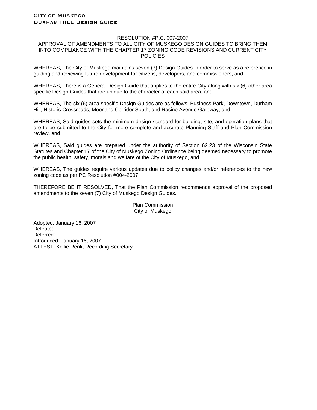#### RESOLUTION #P.C. 007-2007

#### APPROVAL OF AMENDMENTS TO ALL CITY OF MUSKEGO DESIGN GUIDES TO BRING THEM INTO COMPLIANCE WITH THE CHAPTER 17 ZONING CODE REVISIONS AND CURRENT CITY **POLICIES**

WHEREAS, The City of Muskego maintains seven (7) Design Guides in order to serve as a reference in guiding and reviewing future development for citizens, developers, and commissioners, and

WHEREAS, There is a General Design Guide that applies to the entire City along with six (6) other area specific Design Guides that are unique to the character of each said area, and

WHEREAS, The six (6) area specific Design Guides are as follows: Business Park, Downtown, Durham Hill, Historic Crossroads, Moorland Corridor South, and Racine Avenue Gateway, and

WHEREAS, Said guides sets the minimum design standard for building, site, and operation plans that are to be submitted to the City for more complete and accurate Planning Staff and Plan Commission review, and

WHEREAS, Said guides are prepared under the authority of Section 62.23 of the Wisconsin State Statutes and Chapter 17 of the City of Muskego Zoning Ordinance being deemed necessary to promote the public health, safety, morals and welfare of the City of Muskego, and

WHEREAS, The guides require various updates due to policy changes and/or references to the new zoning code as per PC Resolution #004-2007.

THEREFORE BE IT RESOLVED, That the Plan Commission recommends approval of the proposed amendments to the seven (7) City of Muskego Design Guides.

> Plan Commission City of Muskego

Adopted: January 16, 2007 Defeated: Deferred: Introduced: January 16, 2007 ATTEST: Kellie Renk, Recording Secretary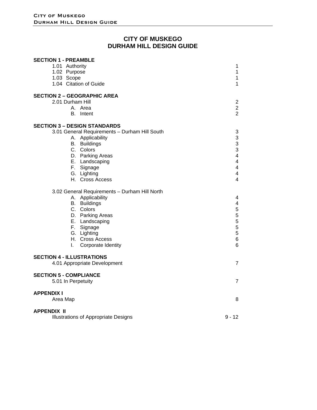## **CITY OF MUSKEGO DURHAM HILL DESIGN GUIDE**

| <b>SECTION 1 - PREAMBLE</b>                   |                         |
|-----------------------------------------------|-------------------------|
| 1.01 Authority                                | 1                       |
| 1.02 Purpose                                  | $\mathbf{1}$            |
| 1.03 Scope                                    | $\mathbf{1}$            |
| 1.04 Citation of Guide                        | $\mathbf{1}$            |
| <b>SECTION 2 - GEOGRAPHIC AREA</b>            |                         |
| 2.01 Durham Hill                              | $\overline{2}$          |
| A. Area                                       | $\overline{c}$          |
| Intent<br>В.                                  | $\overline{2}$          |
| <b>SECTION 3 - DESIGN STANDARDS</b>           |                         |
| 3.01 General Requirements - Durham Hill South | 3                       |
| A. Applicability                              | 3                       |
| B. Buildings                                  | 3                       |
| C. Colors                                     | 3                       |
| D. Parking Areas                              | $\overline{\mathbf{4}}$ |
| E. Landscaping                                | $\overline{\mathbf{4}}$ |
| F. Signage                                    | $\overline{\mathbf{4}}$ |
| G. Lighting                                   | $\overline{\mathbf{4}}$ |
| H. Cross Access                               | 4                       |
| 3.02 General Requirements - Durham Hill North |                         |
| A. Applicability                              | 4                       |
| B. Buildings                                  | 4                       |
| C. Colors                                     | 5                       |
| D. Parking Areas                              | 5                       |
| E. Landscaping                                | 5                       |
| F. Signage                                    | 5                       |
| G. Lighting                                   | 5                       |
| H. Cross Access                               | 6                       |
| Corporate Identity<br>L.                      | 6                       |
| <b>SECTION 4 - ILLUSTRATIONS</b>              |                         |
| 4.01 Appropriate Development                  | $\overline{7}$          |
| <b>SECTION 5 - COMPLIANCE</b>                 |                         |
| 5.01 In Perpetuity                            | $\overline{7}$          |
| <b>APPENDIX I</b>                             |                         |
| Area Map                                      | 8                       |
| <b>APPENDIX II</b>                            |                         |
| <b>Illustrations of Appropriate Designs</b>   | $9 - 12$                |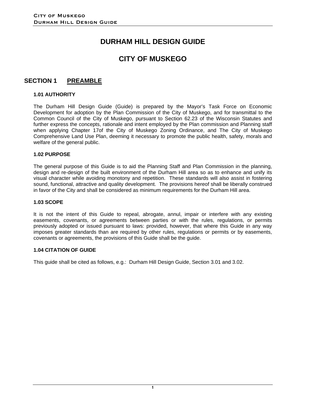# **DURHAM HILL DESIGN GUIDE**

## **CITY OF MUSKEGO**

## **SECTION 1 PREAMBLE**

#### **1.01 AUTHORITY**

The Durham Hill Design Guide (Guide) is prepared by the Mayor's Task Force on Economic Development for adoption by the Plan Commission of the City of Muskego, and for transmittal to the Common Council of the City of Muskego, pursuant to Section 62.23 of the Wisconsin Statutes and further express the concepts, rationale and intent employed by the Plan commission and Planning staff when applying Chapter 17of the City of Muskego Zoning Ordinance, and The City of Muskego Comprehensive Land Use Plan, deeming it necessary to promote the public health, safety, morals and welfare of the general public.

#### **1.02 PURPOSE**

The general purpose of this Guide is to aid the Planning Staff and Plan Commission in the planning, design and re-design of the built environment of the Durham Hill area so as to enhance and unify its visual character while avoiding monotony and repetition. These standards will also assist in fostering sound, functional, attractive and quality development. The provisions hereof shall be liberally construed in favor of the City and shall be considered as minimum requirements for the Durham Hill area.

#### **1.03 SCOPE**

It is not the intent of this Guide to repeal, abrogate, annul, impair or interfere with any existing easements, covenants, or agreements between parties or with the rules, regulations, or permits previously adopted or issued pursuant to laws: provided, however, that where this Guide in any way imposes greater standards than are required by other rules, regulations or permits or by easements, covenants or agreements, the provisions of this Guide shall be the guide.

#### **1.04 CITATION OF GUIDE**

This guide shall be cited as follows, e.g.: Durham Hill Design Guide, Section 3.01 and 3.02.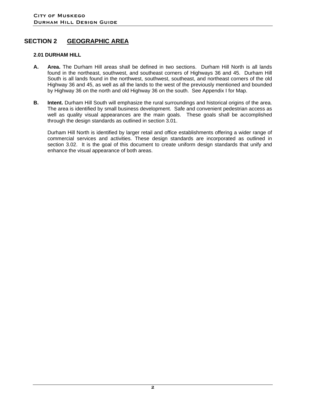## **SECTION 2 GEOGRAPHIC AREA**

#### **2.01 DURHAM HILL**

- **A. Area.** The Durham Hill areas shall be defined in two sections. Durham Hill North is all lands found in the northeast, southwest, and southeast corners of Highways 36 and 45. Durham Hill South is all lands found in the northwest, southwest, southeast, and northeast corners of the old Highway 36 and 45, as well as all the lands to the west of the previously mentioned and bounded by Highway 36 on the north and old Highway 36 on the south. See Appendix I for Map.
- **B.** Intent. Durham Hill South will emphasize the rural surroundings and historical origins of the area. The area is identified by small business development. Safe and convenient pedestrian access as well as quality visual appearances are the main goals. These goals shall be accomplished through the design standards as outlined in section 3.01.

Durham Hill North is identified by larger retail and office establishments offering a wider range of commercial services and activities. These design standards are incorporated as outlined in section 3.02. It is the goal of this document to create uniform design standards that unify and enhance the visual appearance of both areas.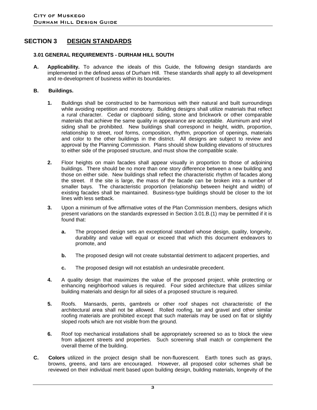## **SECTION 3 DESIGN STANDARDS**

#### **3.01 GENERAL REQUIREMENTS - DURHAM HILL SOUTH**

**A. Applicability.** To advance the ideals of this Guide, the following design standards are implemented in the defined areas of Durham Hill. These standards shall apply to all development and re-development of business within its boundaries.

#### **B. Buildings.**

- **1.** Buildings shall be constructed to be harmonious with their natural and built surroundings while avoiding repetition and monotony. Building designs shall utilize materials that reflect a rural character. Cedar or clapboard siding, stone and brickwork or other comparable materials that achieve the same quality in appearance are acceptable. Aluminum and vinyl siding shall be prohibited. New buildings shall correspond in height, width, proportion, relationship to street, roof forms, composition, rhythm, proportion of openings, materials and color to the other buildings in the district. All designs are subject to review and approval by the Planning Commission. Plans should show building elevations of structures to either side of the proposed structure, and must show the compatible scale.
- **2.** Floor heights on main facades shall appear visually in proportion to those of adjoining buildings. There should be no more than one story difference between a new building and those on either side. New buildings shall reflect the characteristic rhythm of facades along the street. If the site is large, the mass of the facade can be broken into a number of smaller bays. The characteristic proportion (relationship between height and width) of existing facades shall be maintained. Business-type buildings should be closer to the lot lines with less setback.
- **3.** Upon a minimum of five affirmative votes of the Plan Commission members, designs which present variations on the standards expressed in Section 3.01.B.(1) may be permitted if it is found that:
	- **a.** The proposed design sets an exceptional standard whose design, quality, longevity, durability and value will equal or exceed that which this document endeavors to promote, and
	- **b.** The proposed design will not create substantial detriment to adjacent properties, and
	- **c.** The proposed design will not establish an undesirable precedent.
- **4.** A quality design that maximizes the value of the proposed project, while protecting or enhancing neighborhood values is required. Four sided architecture that utilizes similar building materials and design for all sides of a proposed structure is required.
- **5.** Roofs. Mansards, pents, gambrels or other roof shapes not characteristic of the architectural area shall not be allowed. Rolled roofing, tar and gravel and other similar roofing materials are prohibited except that such materials may be used on flat or slightly sloped roofs which are not visible from the ground.
- **6.** Roof top mechanical installations shall be appropriately screened so as to block the view from adjacent streets and properties. Such screening shall match or complement the overall theme of the building.
- **C. Colors** utilized in the project design shall be non-fluorescent. Earth tones such as grays, browns, greens, and tans are encouraged. However, all proposed color schemes shall be reviewed on their individual merit based upon building design, building materials, longevity of the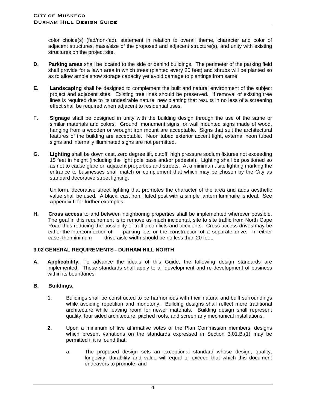color choice(s) (fad/non-fad), statement in relation to overall theme, character and color of adjacent structures, mass/size of the proposed and adjacent structure(s), and unity with existing structures on the project site.

- **D. Parking areas** shall be located to the side or behind buildings. The perimeter of the parking field shall provide for a lawn area in which trees (planted every 20 feet) and shrubs will be planted so as to allow ample snow storage capacity yet avoid damage to plantings from same.
- **E. Landscaping** shall be designed to complement the built and natural environment of the subject project and adjacent sites. Existing tree lines should be preserved. If removal of existing tree lines is required due to its undesirable nature, new planting that results in no less of a screening effect shall be required when adjacent to residential uses.
- F. **Signage** shall be designed in unity with the building design through the use of the same or similar materials and colors. Ground, monument signs, or wall mounted signs made of wood, hanging from a wooden or wrought iron mount are acceptable. Signs that suit the architectural features of the building are acceptable. Neon tubed exterior accent light, external neon tubed signs and internally illuminated signs are not permitted.
- **G. Lighting** shall be down cast, zero degree tilt, cutoff, high pressure sodium fixtures not exceeding 15 feet in height (including the light pole base and/or pedestal). Lighting shall be positioned so as not to cause glare on adjacent properties and streets. At a minimum, site lighting marking the entrance to businesses shall match or complement that which may be chosen by the City as standard decorative street lighting.

 Uniform, decorative street lighting that promotes the character of the area and adds aesthetic value shall be used. A black, cast iron, fluted post with a simple lantern luminaire is ideal. See Appendix II for further examples.

**H. Cross access** to and between neighboring properties shall be implemented wherever possible. The goal in this requirement is to remove as much incidental, site to site traffic from North Cape Road thus reducing the possibility of traffic conflicts and accidents. Cross access drives may be either the interconnection of parking lots or the construction of a separate drive. In either case, the minimum drive aisle width should be no less than 20 feet.

#### **3.02 GENERAL REQUIREMENTS - DURHAM HILL NORTH**

**A. Applicability.** To advance the ideals of this Guide, the following design standards are implemented. These standards shall apply to all development and re-development of business within its boundaries.

### **B. Buildings.**

- **1.** Buildings shall be constructed to be harmonious with their natural and built surroundings while avoiding repetition and monotony. Building designs shall reflect more traditional architecture while leaving room for newer materials. Building design shall represent quality, four sided architecture, pitched roofs, and screen any mechanical installations.
- **2.** Upon a minimum of five affirmative votes of the Plan Commission members, designs which present variations on the standards expressed in Section 3.01.B.(1) may be permitted if it is found that:
	- a. The proposed design sets an exceptional standard whose design, quality, longevity, durability and value will equal or exceed that which this document endeavors to promote, and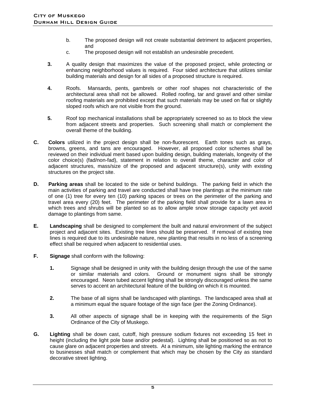- b. The proposed design will not create substantial detriment to adjacent properties, and
- c. The proposed design will not establish an undesirable precedent.
- **3.** A quality design that maximizes the value of the proposed project, while protecting or enhancing neighborhood values is required. Four sided architecture that utilizes similar building materials and design for all sides of a proposed structure is required.
- **4.** Roofs. Mansards, pents, gambrels or other roof shapes not characteristic of the architectural area shall not be allowed. Rolled roofing, tar and gravel and other similar roofing materials are prohibited except that such materials may be used on flat or slightly sloped roofs which are not visible from the ground.
- **5.** Roof top mechanical installations shall be appropriately screened so as to block the view from adjacent streets and properties. Such screening shall match or complement the overall theme of the building.
- **C. Colors** utilized in the project design shall be non-fluorescent. Earth tones such as grays, browns, greens, and tans are encouraged. However, all proposed color schemes shall be reviewed on their individual merit based upon building design, building materials, longevity of the color choice(s) (fad/non-fad), statement in relation to overall theme, character and color of adjacent structures, mass/size of the proposed and adjacent structure(s), unity with existing structures on the project site.
- **D. Parking areas** shall be located to the side or behind buildings. The parking field in which the main activities of parking and travel are conducted shall have tree plantings at the minimum rate of one (1) tree for every ten (10) parking spaces or trees on the perimeter of the parking and travel area every (20) feet. The perimeter of the parking field shall provide for a lawn area in which trees and shrubs will be planted so as to allow ample snow storage capacity yet avoid damage to plantings from same.
- **E. Landscaping** shall be designed to complement the built and natural environment of the subject project and adjacent sites. Existing tree lines should be preserved. If removal of existing tree lines is required due to its undesirable nature, new planting that results in no less of a screening effect shall be required when adjacent to residential uses.
- **F. Signage** shall conform with the following:
	- **1.** Signage shall be designed in unity with the building design through the use of the same or similar materials and colors. Ground or monument signs shall be strongly encouraged. Neon tubed accent lighting shall be strongly discouraged unless the same serves to accent an architectural feature of the building on which it is mounted.
	- **2.** The base of all signs shall be landscaped with plantings. The landscaped area shall at a minimum equal the square footage of the sign face (per the Zoning Ordinance).
	- **3.** All other aspects of signage shall be in keeping with the requirements of the Sign Ordinance of the City of Muskego.
- **G. Lighting** shall be down cast, cutoff, high pressure sodium fixtures not exceeding 15 feet in height (including the light pole base and/or pedestal). Lighting shall be positioned so as not to cause glare on adjacent properties and streets. At a minimum, site lighting marking the entrance to businesses shall match or complement that which may be chosen by the City as standard decorative street lighting.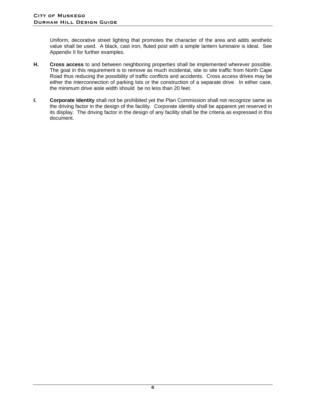Uniform, decorative street lighting that promotes the character of the area and adds aesthetic value shall be used. A black, cast iron, fluted post with a simple lantern luminaire is ideal. See Appendix II for further examples.

- **H. Cross access** to and between neighboring properties shall be implemented wherever possible. The goal in this requirement is to remove as much incidental, site to site traffic from North Cape Road thus reducing the possibility of traffic conflicts and accidents. Cross access drives may be either the interconnection of parking lots or the construction of a separate drive. In either case, the minimum drive aisle width should be no less than 20 feet.
- **I.** Corporate Identity shall not be prohibited yet the Plan Commission shall not recognize same as the driving factor in the design of the facility. Corporate identity shall be apparent yet reserved in its display. The driving factor in the design of any facility shall be the criteria as expressed in this document.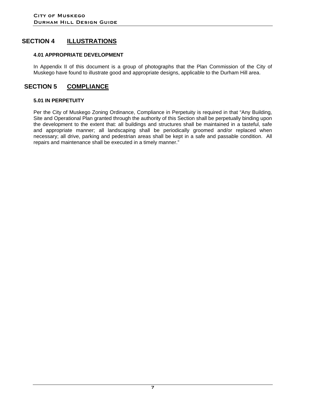## **SECTION 4 ILLUSTRATIONS**

#### **4.01 APPROPRIATE DEVELOPMENT**

In Appendix II of this document is a group of photographs that the Plan Commission of the City of Muskego have found to illustrate good and appropriate designs, applicable to the Durham Hill area.

## **SECTION 5 COMPLIANCE**

#### **5.01 IN PERPETUITY**

Per the City of Muskego Zoning Ordinance, Compliance in Perpetuity is required in that "Any Building, Site and Operational Plan granted through the authority of this Section shall be perpetually binding upon the development to the extent that: all buildings and structures shall be maintained in a tasteful, safe and appropriate manner; all landscaping shall be periodically groomed and/or replaced when necessary; all drive, parking and pedestrian areas shall be kept in a safe and passable condition. All repairs and maintenance shall be executed in a timely manner."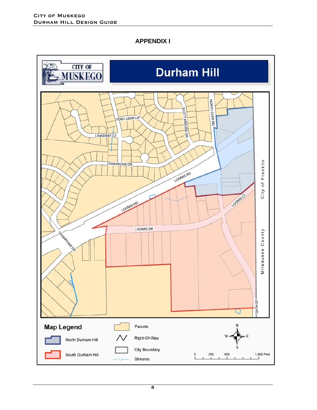**APPENDIX I** 

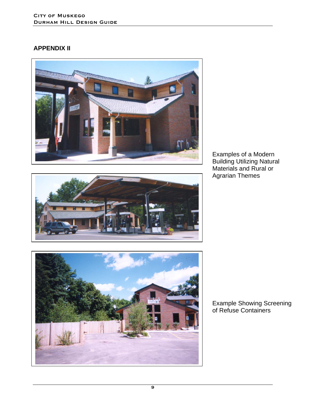## **APPENDIX II**







Examples of a Modern Building Utilizing Natural Materials and Rural or Agrarian Themes

Example Showing Screening of Refuse Containers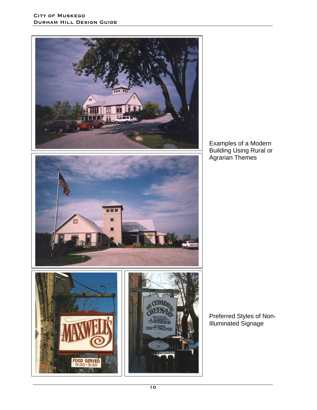

Examples of a Modern Building Using Rural or Agrarian Themes

Preferred Styles of Non-Illuminated Signage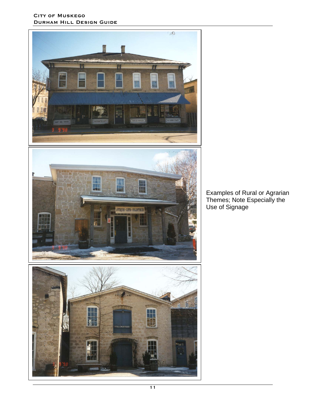#### CITY OF MUSKEGO Durham Hill Design Guide







Examples of Rural or Agrarian Themes; Note Especially the Use of Signage